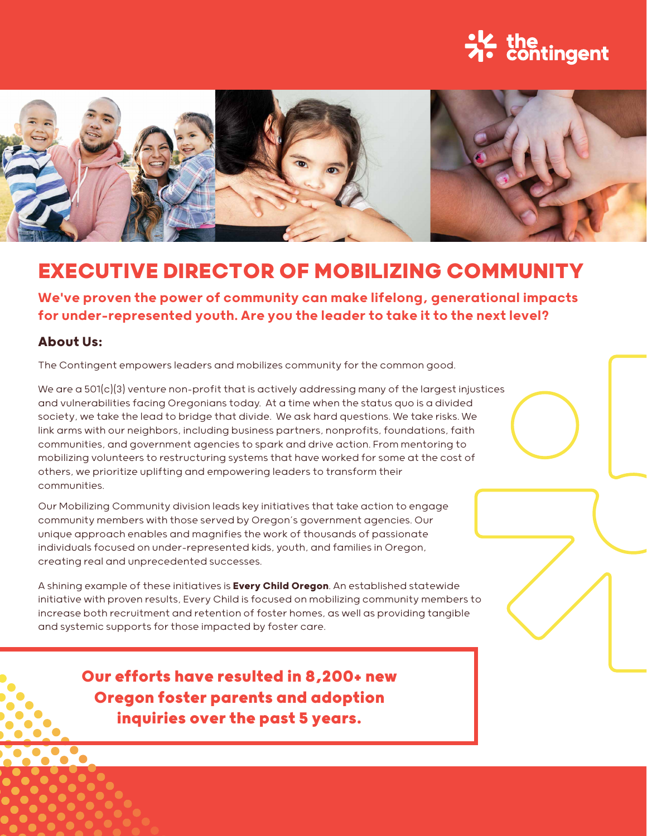# 兴 the contingent



## **EXECUTIVE DIRECTOR OF MOBILIZING COMMUNITY**

We've proven the power of community can make lifelong, generational impacts for under-represented youth. Are you the leader to take it to the next level?

#### **About Us:**

The Contingent empowers leaders and mobilizes community for the common good.

We are a  $501(c)(3)$  venture non-profit that is actively addressing many of the largest injustices and vulnerabilities facing Oregonians today. At a time when the status quo is a divided society, we take the lead to bridge that divide. We ask hard questions. We take risks. We link arms with our neighbors, including business partners, nonprofits, foundations, faith communities, and government agencies to spark and drive action. From mentoring to mobilizing volunteers to restructuring systems that have worked for some at the cost of others, we prioritize uplifting and empowering leaders to transform their communities.

Our Mobilizing Community division leads key initiatives that take action to engage community members with those served by Oregon's government agencies. Our unique approach enables and magnifies the work of thousands of passionate individuals focused on under-represented kids, youth, and families in Oregon, creating real and unprecedented successes.

A shining example of these initiatives is **[Every Child Oregon](www.everychildoregon.org)**. An established statewide initiative with proven results, Every Child is focused on mobilizing community members to increase both recruitment and retention of foster homes, as well as providing tangible and systemic supports for those impacted by foster care.

> **Our efforts have resulted in 8,200+ new Oregon foster parents and adoption inquiries over the past 5 years.**